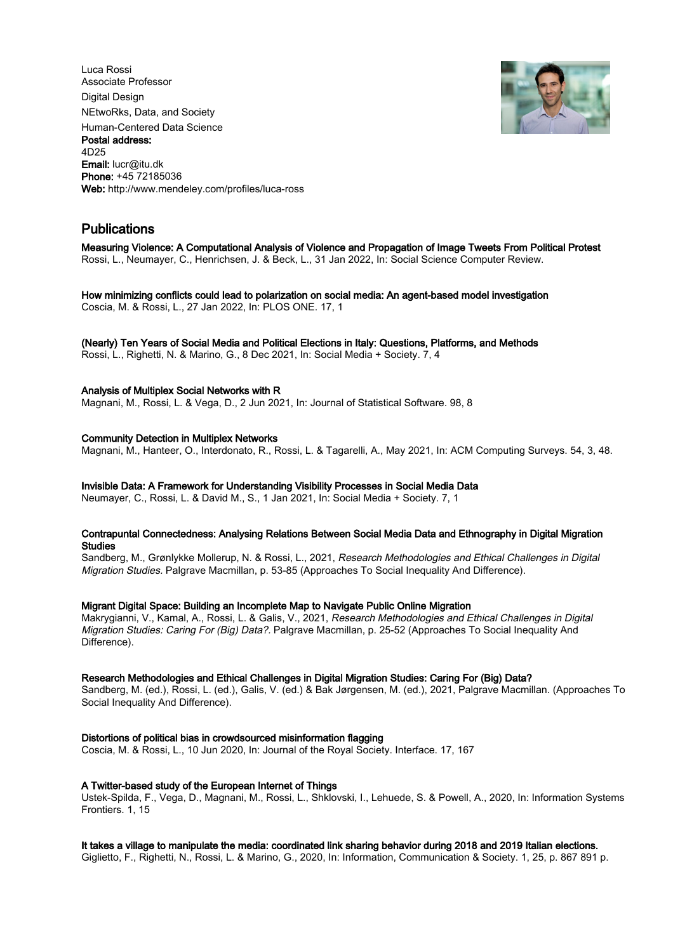Luca Rossi Associate Professor Digital Design NEtwoRks, Data, and Society Human-Centered Data Science Postal address: 4D25 Email: lucr@itu.dk Phone: +45 72185036 Web: http://www.mendeley.com/profiles/luca-ross



# Publications

Measuring Violence: A Computational Analysis of Violence and Propagation of Image Tweets From Political Protest Rossi, L., Neumayer, C., Henrichsen, J. & Beck, L., 31 Jan 2022, In: Social Science Computer Review.

How minimizing conflicts could lead to polarization on social media: An agent-based model investigation Coscia, M. & Rossi, L., 27 Jan 2022, In: PLOS ONE. 17, 1

# (Nearly) Ten Years of Social Media and Political Elections in Italy: Questions, Platforms, and Methods

Rossi, L., Righetti, N. & Marino, G., 8 Dec 2021, In: Social Media + Society. 7, 4

# Analysis of Multiplex Social Networks with R

Magnani, M., Rossi, L. & Vega, D., 2 Jun 2021, In: Journal of Statistical Software. 98, 8

# Community Detection in Multiplex Networks

Magnani, M., Hanteer, O., Interdonato, R., Rossi, L. & Tagarelli, A., May 2021, In: ACM Computing Surveys. 54, 3, 48.

# Invisible Data: A Framework for Understanding Visibility Processes in Social Media Data

Neumayer, C., Rossi, L. & David M., S., 1 Jan 2021, In: Social Media + Society. 7, 1

# Contrapuntal Connectedness: Analysing Relations Between Social Media Data and Ethnography in Digital Migration Studies

Sandberg, M., Grønlykke Mollerup, N. & Rossi, L., 2021, Research Methodologies and Ethical Challenges in Digital Migration Studies. Palgrave Macmillan, p. 53-85 (Approaches To Social Inequality And Difference).

# Migrant Digital Space: Building an Incomplete Map to Navigate Public Online Migration

Makrygianni, V., Kamal, A., Rossi, L. & Galis, V., 2021, Research Methodologies and Ethical Challenges in Digital Migration Studies: Caring For (Big) Data?. Palgrave Macmillan, p. 25-52 (Approaches To Social Inequality And Difference).

# Research Methodologies and Ethical Challenges in Digital Migration Studies: Caring For (Big) Data?

Sandberg, M. (ed.), Rossi, L. (ed.), Galis, V. (ed.) & Bak Jørgensen, M. (ed.), 2021, Palgrave Macmillan. (Approaches To Social Inequality And Difference).

# Distortions of political bias in crowdsourced misinformation flagging

Coscia, M. & Rossi, L., 10 Jun 2020, In: Journal of the Royal Society. Interface. 17, 167

# A Twitter-based study of the European Internet of Things

Ustek-Spilda, F., Vega, D., Magnani, M., Rossi, L., Shklovski, I., Lehuede, S. & Powell, A., 2020, In: Information Systems Frontiers. 1, 15

# It takes a village to manipulate the media: coordinated link sharing behavior during 2018 and 2019 Italian elections.

Giglietto, F., Righetti, N., Rossi, L. & Marino, G., 2020, In: Information, Communication & Society. 1, 25, p. 867 891 p.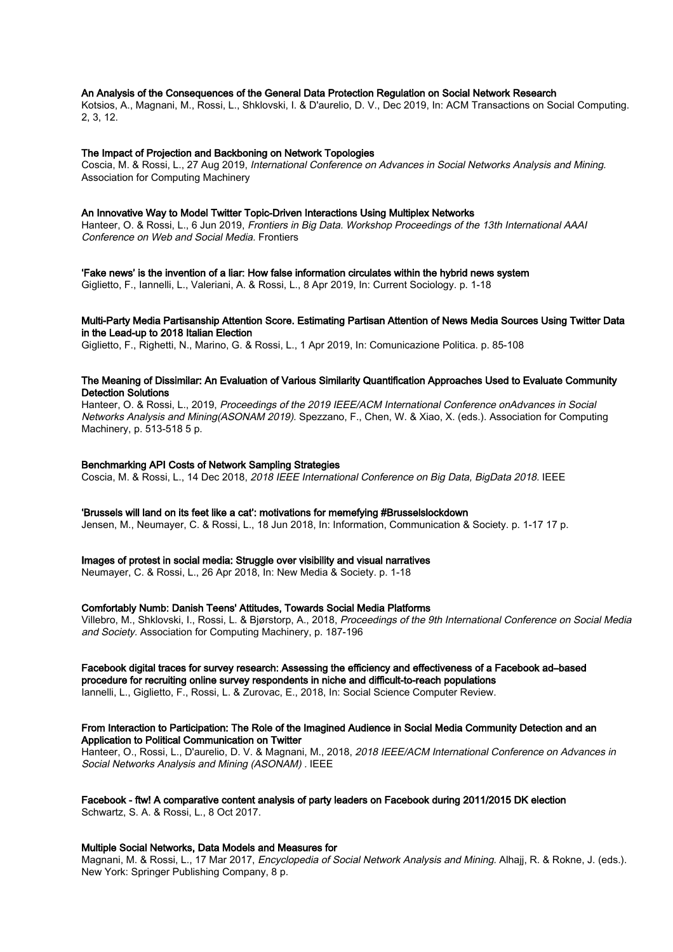#### An Analysis of the Consequences of the General Data Protection Regulation on Social Network Research

Kotsios, A., Magnani, M., Rossi, L., Shklovski, I. & D'aurelio, D. V., Dec 2019, In: ACM Transactions on Social Computing. 2, 3, 12.

#### The Impact of Projection and Backboning on Network Topologies

Coscia, M. & Rossi, L., 27 Aug 2019, International Conference on Advances in Social Networks Analysis and Mining. Association for Computing Machinery

#### An Innovative Way to Model Twitter Topic-Driven Interactions Using Multiplex Networks

Hanteer, O. & Rossi, L., 6 Jun 2019, Frontiers in Big Data. Workshop Proceedings of the 13th International AAAI Conference on Web and Social Media. Frontiers

'Fake news' is the invention of a liar: How false information circulates within the hybrid news system

Giglietto, F., Iannelli, L., Valeriani, A. & Rossi, L., 8 Apr 2019, In: Current Sociology. p. 1-18

# Multi-Party Media Partisanship Attention Score. Estimating Partisan Attention of News Media Sources Using Twitter Data in the Lead-up to 2018 Italian Election

Giglietto, F., Righetti, N., Marino, G. & Rossi, L., 1 Apr 2019, In: Comunicazione Politica. p. 85-108

# The Meaning of Dissimilar: An Evaluation of Various Similarity Quantification Approaches Used to Evaluate Community Detection Solutions

Hanteer, O. & Rossi, L., 2019, Proceedings of the 2019 IEEE/ACM International Conference onAdvances in Social Networks Analysis and Mining(ASONAM 2019). Spezzano, F., Chen, W. & Xiao, X. (eds.). Association for Computing Machinery, p. 513-518 5 p.

#### Benchmarking API Costs of Network Sampling Strategies

Coscia, M. & Rossi, L., 14 Dec 2018, 2018 IEEE International Conference on Big Data, BigData 2018. IEEE

#### 'Brussels will land on its feet like a cat': motivations for memefying #Brusselslockdown

Jensen, M., Neumayer, C. & Rossi, L., 18 Jun 2018, In: Information, Communication & Society. p. 1-17 17 p.

#### Images of protest in social media: Struggle over visibility and visual narratives

Neumayer, C. & Rossi, L., 26 Apr 2018, In: New Media & Society. p. 1-18

#### Comfortably Numb: Danish Teens' Attitudes, Towards Social Media Platforms

Villebro, M., Shklovski, I., Rossi, L. & Bjørstorp, A., 2018, Proceedings of the 9th International Conference on Social Media and Society. Association for Computing Machinery, p. 187-196

# Facebook digital traces for survey research: Assessing the efficiency and effectiveness of a Facebook ad–based

procedure for recruiting online survey respondents in niche and difficult-to-reach populations

Iannelli, L., Giglietto, F., Rossi, L. & Zurovac, E., 2018, In: Social Science Computer Review.

#### From Interaction to Participation: The Role of the Imagined Audience in Social Media Community Detection and an Application to Political Communication on Twitter

Hanteer, O., Rossi, L., D'aurelio, D. V. & Magnani, M., 2018, 2018 IEEE/ACM International Conference on Advances in Social Networks Analysis and Mining (ASONAM) . IEEE

#### Facebook - ftw! A comparative content analysis of party leaders on Facebook during 2011/2015 DK election Schwartz, S. A. & Rossi, L., 8 Oct 2017.

#### Multiple Social Networks, Data Models and Measures for

Magnani, M. & Rossi, L., 17 Mar 2017, Encyclopedia of Social Network Analysis and Mining. Alhajj, R. & Rokne, J. (eds.). New York: Springer Publishing Company, 8 p.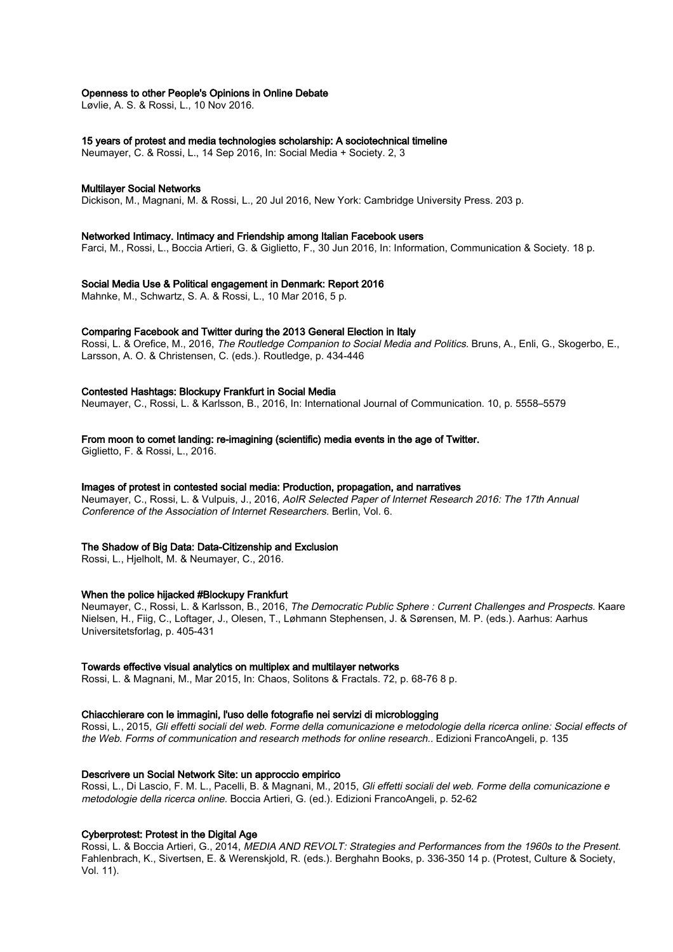#### Openness to other People's Opinions in Online Debate

Løvlie, A. S. & Rossi, L., 10 Nov 2016.

#### 15 years of protest and media technologies scholarship: A sociotechnical timeline

Neumayer, C. & Rossi, L., 14 Sep 2016, In: Social Media + Society. 2, 3

#### Multilayer Social Networks

Dickison, M., Magnani, M. & Rossi, L., 20 Jul 2016, New York: Cambridge University Press. 203 p.

#### Networked Intimacy. Intimacy and Friendship among Italian Facebook users

Farci, M., Rossi, L., Boccia Artieri, G. & Giglietto, F., 30 Jun 2016, In: Information, Communication & Society. 18 p.

#### Social Media Use & Political engagement in Denmark: Report 2016

Mahnke, M., Schwartz, S. A. & Rossi, L., 10 Mar 2016, 5 p.

#### Comparing Facebook and Twitter during the 2013 General Election in Italy

Rossi, L. & Orefice, M., 2016, The Routledge Companion to Social Media and Politics. Bruns, A., Enli, G., Skogerbo, E., Larsson, A. O. & Christensen, C. (eds.). Routledge, p. 434-446

# Contested Hashtags: Blockupy Frankfurt in Social Media

Neumayer, C., Rossi, L. & Karlsson, B., 2016, In: International Journal of Communication. 10, p. 5558–5579

#### From moon to comet landing: re-imagining (scientific) media events in the age of Twitter.

Giglietto, F. & Rossi, L., 2016.

#### Images of protest in contested social media: Production, propagation, and narratives

Neumayer, C., Rossi, L. & Vulpuis, J., 2016, AoIR Selected Paper of Internet Research 2016: The 17th Annual Conference of the Association of Internet Researchers. Berlin, Vol. 6.

#### The Shadow of Big Data: Data-Citizenship and Exclusion

Rossi, L., Hjelholt, M. & Neumayer, C., 2016.

#### When the police hijacked #Blockupy Frankfurt

Neumayer, C., Rossi, L. & Karlsson, B., 2016, The Democratic Public Sphere : Current Challenges and Prospects. Kaare Nielsen, H., Fiig, C., Loftager, J., Olesen, T., Løhmann Stephensen, J. & Sørensen, M. P. (eds.). Aarhus: Aarhus Universitetsforlag, p. 405-431

#### Towards effective visual analytics on multiplex and multilayer networks

Rossi, L. & Magnani, M., Mar 2015, In: Chaos, Solitons & Fractals. 72, p. 68-76 8 p.

#### Chiacchierare con le immagini, l'uso delle fotografie nei servizi di microblogging

Rossi, L., 2015, Gli effetti sociali del web. Forme della comunicazione e metodologie della ricerca online: Social effects of the Web. Forms of communication and research methods for online research.. Edizioni FrancoAngeli, p. 135

# Descrivere un Social Network Site: un approccio empirico

Rossi, L., Di Lascio, F. M. L., Pacelli, B. & Magnani, M., 2015, Gli effetti sociali del web. Forme della comunicazione e metodologie della ricerca online. Boccia Artieri, G. (ed.). Edizioni FrancoAngeli, p. 52-62

# Cyberprotest: Protest in the Digital Age

Rossi, L. & Boccia Artieri, G., 2014, MEDIA AND REVOLT: Strategies and Performances from the 1960s to the Present. Fahlenbrach, K., Sivertsen, E. & Werenskjold, R. (eds.). Berghahn Books, p. 336-350 14 p. (Protest, Culture & Society, Vol. 11).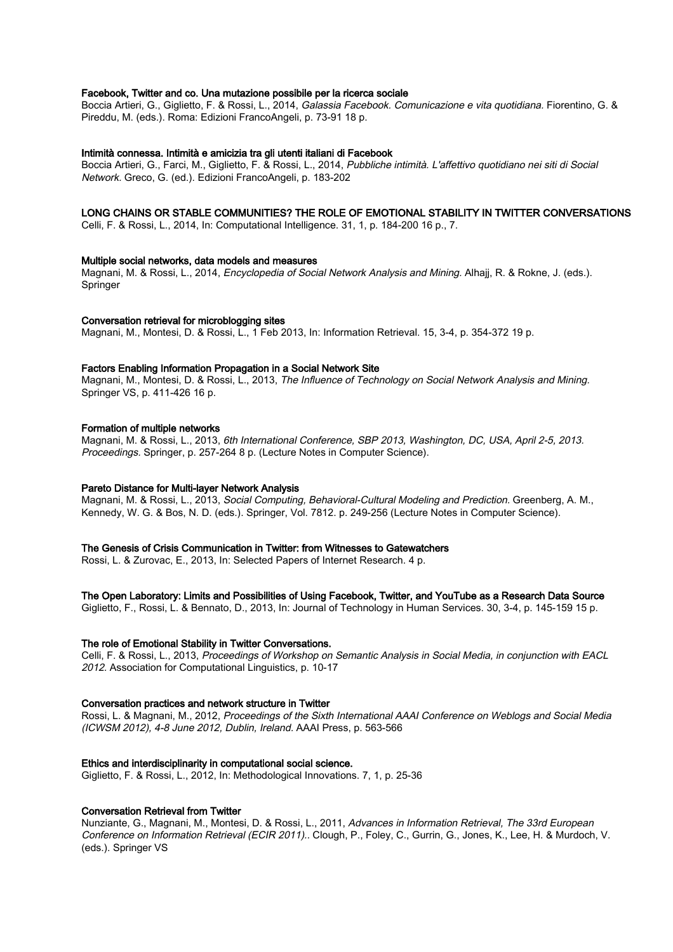# Facebook, Twitter and co. Una mutazione possibile per la ricerca sociale

Boccia Artieri, G., Giglietto, F. & Rossi, L., 2014, Galassia Facebook. Comunicazione e vita quotidiana. Fiorentino, G. & Pireddu, M. (eds.). Roma: Edizioni FrancoAngeli, p. 73-91 18 p.

#### Intimità connessa. Intimità e amicizia tra gli utenti italiani di Facebook

Boccia Artieri, G., Farci, M., Giglietto, F. & Rossi, L., 2014, Pubbliche intimità. L'affettivo quotidiano nei siti di Social Network. Greco, G. (ed.). Edizioni FrancoAngeli, p. 183-202

# LONG CHAINS OR STABLE COMMUNITIES? THE ROLE OF EMOTIONAL STABILITY IN TWITTER CONVERSATIONS

Celli, F. & Rossi, L., 2014, In: Computational Intelligence. 31, 1, p. 184-200 16 p., 7.

# Multiple social networks, data models and measures

Magnani, M. & Rossi, L., 2014, Encyclopedia of Social Network Analysis and Mining. Alhajj, R. & Rokne, J. (eds.). **Springer** 

#### Conversation retrieval for microblogging sites

Magnani, M., Montesi, D. & Rossi, L., 1 Feb 2013, In: Information Retrieval. 15, 3-4, p. 354-372 19 p.

#### Factors Enabling Information Propagation in a Social Network Site

Magnani, M., Montesi, D. & Rossi, L., 2013, The Influence of Technology on Social Network Analysis and Mining. Springer VS, p. 411-426 16 p.

#### Formation of multiple networks

Magnani, M. & Rossi, L., 2013, 6th International Conference, SBP 2013, Washington, DC, USA, April 2-5, 2013. Proceedings. Springer, p. 257-264 8 p. (Lecture Notes in Computer Science).

# Pareto Distance for Multi-layer Network Analysis

Magnani, M. & Rossi, L., 2013, Social Computing, Behavioral-Cultural Modeling and Prediction. Greenberg, A. M., Kennedy, W. G. & Bos, N. D. (eds.). Springer, Vol. 7812. p. 249-256 (Lecture Notes in Computer Science).

#### The Genesis of Crisis Communication in Twitter: from Witnesses to Gatewatchers

Rossi, L. & Zurovac, E., 2013, In: Selected Papers of Internet Research. 4 p.

# The Open Laboratory: Limits and Possibilities of Using Facebook, Twitter, and YouTube as a Research Data Source

Giglietto, F., Rossi, L. & Bennato, D., 2013, In: Journal of Technology in Human Services. 30, 3-4, p. 145-159 15 p.

# The role of Emotional Stability in Twitter Conversations.

Celli, F. & Rossi, L., 2013, Proceedings of Workshop on Semantic Analysis in Social Media, in conjunction with EACL 2012. Association for Computational Linguistics, p. 10-17

# Conversation practices and network structure in Twitter

Rossi, L. & Magnani, M., 2012, Proceedings of the Sixth International AAAI Conference on Weblogs and Social Media (ICWSM 2012), 4-8 June 2012, Dublin, Ireland. AAAI Press, p. 563-566

#### Ethics and interdisciplinarity in computational social science.

Giglietto, F. & Rossi, L., 2012, In: Methodological Innovations. 7, 1, p. 25-36

# Conversation Retrieval from Twitter

Nunziante, G., Magnani, M., Montesi, D. & Rossi, L., 2011, Advances in Information Retrieval, The 33rd European Conference on Information Retrieval (ECIR 2011).. Clough, P., Foley, C., Gurrin, G., Jones, K., Lee, H. & Murdoch, V. (eds.). Springer VS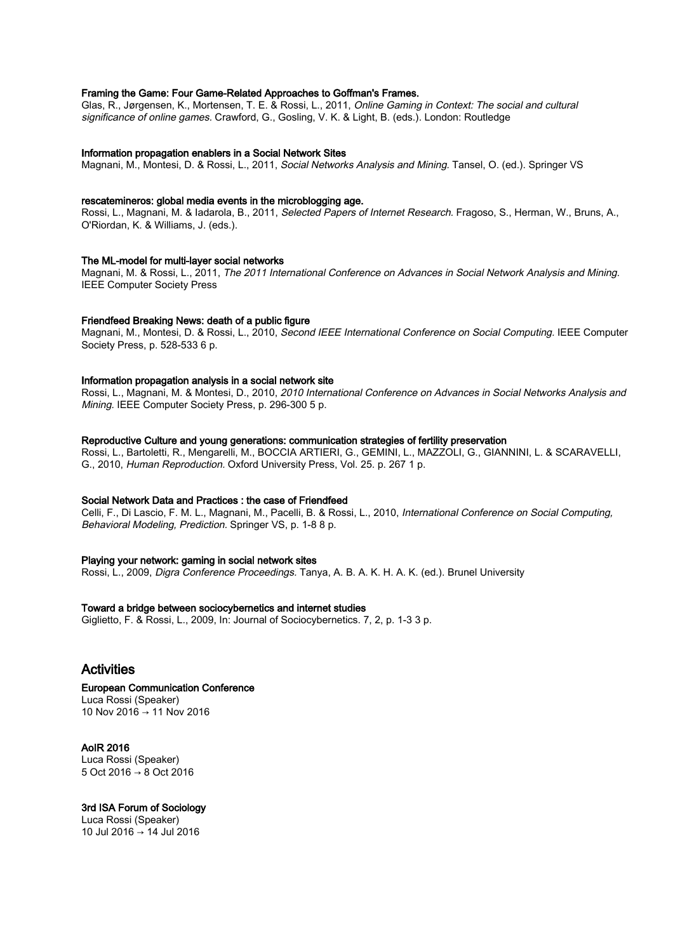# Framing the Game: Four Game-Related Approaches to Goffman's Frames.

Glas, R., Jørgensen, K., Mortensen, T. E. & Rossi, L., 2011, Online Gaming in Context: The social and cultural significance of online games. Crawford, G., Gosling, V. K. & Light, B. (eds.). London: Routledge

#### Information propagation enablers in a Social Network Sites

Magnani, M., Montesi, D. & Rossi, L., 2011, Social Networks Analysis and Mining. Tansel, O. (ed.). Springer VS

#### rescatemineros: global media events in the microblogging age.

Rossi, L., Magnani, M. & Iadarola, B., 2011, Selected Papers of Internet Research. Fragoso, S., Herman, W., Bruns, A., O'Riordan, K. & Williams, J. (eds.).

#### The ML-model for multi-layer social networks

Magnani, M. & Rossi, L., 2011, The 2011 International Conference on Advances in Social Network Analysis and Mining. IEEE Computer Society Press

#### Friendfeed Breaking News: death of a public figure

Magnani, M., Montesi, D. & Rossi, L., 2010, Second IEEE International Conference on Social Computing. IEEE Computer Society Press, p. 528-533 6 p.

#### Information propagation analysis in a social network site

Rossi, L., Magnani, M. & Montesi, D., 2010, 2010 International Conference on Advances in Social Networks Analysis and Mining. IEEE Computer Society Press, p. 296-300 5 p.

## Reproductive Culture and young generations: communication strategies of fertility preservation

Rossi, L., Bartoletti, R., Mengarelli, M., BOCCIA ARTIERI, G., GEMINI, L., MAZZOLI, G., GIANNINI, L. & SCARAVELLI, G., 2010, Human Reproduction. Oxford University Press, Vol. 25. p. 267 1 p.

## Social Network Data and Practices : the case of Friendfeed

Celli, F., Di Lascio, F. M. L., Magnani, M., Pacelli, B. & Rossi, L., 2010, International Conference on Social Computing, Behavioral Modeling, Prediction. Springer VS, p. 1-8 8 p.

#### Playing your network: gaming in social network sites

Rossi, L., 2009, Digra Conference Proceedings. Tanya, A. B. A. K. H. A. K. (ed.). Brunel University

#### Toward a bridge between sociocybernetics and internet studies

Giglietto, F. & Rossi, L., 2009, In: Journal of Sociocybernetics. 7, 2, p. 1-3 3 p.

# Activities

# European Communication Conference Luca Rossi (Speaker)

10 Nov 2016 → 11 Nov 2016

AoIR 2016 Luca Rossi (Speaker) 5 Oct 2016 → 8 Oct 2016

#### 3rd ISA Forum of Sociology

Luca Rossi (Speaker) 10 Jul 2016 → 14 Jul 2016